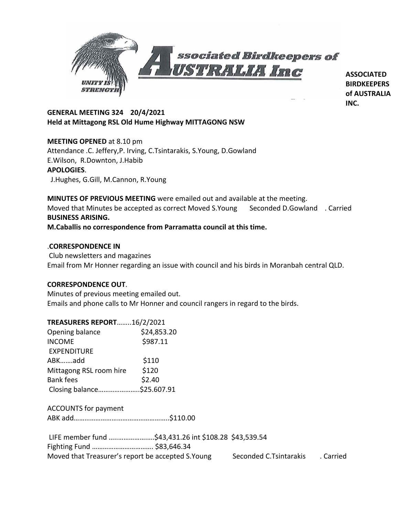

**ASSOCIATED BIRDKEEPERS of AUSTRALIA INC.**

### **GENERAL MEETING 324 20/4/2021 Held at Mittagong RSL Old Hume Highway MITTAGONG NSW**

### **MEETING OPENED** at 8.10 pm

Attendance .C. Jeffery,P. Irving, C.Tsintarakis, S.Young, D.Gowland E.Wilson, R.Downton, J.Habib **APOLOGIES**. J.Hughes, G.Gill, M.Cannon, R.Young

**MINUTES OF PREVIOUS MEETING** were emailed out and available at the meeting. Moved that Minutes be accepted as correct Moved S.Young Seconded D.Gowland . Carried **BUSINESS ARISING. M.Caballis no correspondence from Parramatta council at this time.**

### .**CORRESPONDENCE IN**

Club newsletters and magazines Email from Mr Honner regarding an issue with council and his birds in Moranbah central QLD.

### **CORRESPONDENCE OUT**.

Minutes of previous meeting emailed out. Emails and phone calls to Mr Honner and council rangers in regard to the birds.

# **TREASURERS REPORT**……..16/2/2021

| Opening balance            | \$24,853.20 |
|----------------------------|-------------|
| <b>INCOME</b>              | \$987.11    |
| <b>EXPENDITURE</b>         |             |
| ABKadd                     | \$110       |
| Mittagong RSL room hire    | \$120       |
| <b>Bank fees</b>           | \$2.40      |
| Closing balance\$25.607.91 |             |

ACCOUNTS for payment

|--|--|

| LIFE member fund \$43,431.26 int \$108.28 \$43,539.54 |                        |           |
|-------------------------------------------------------|------------------------|-----------|
|                                                       |                        |           |
| Moved that Treasurer's report be accepted S. Young    | Seconded C.Tsintarakis | . Carried |